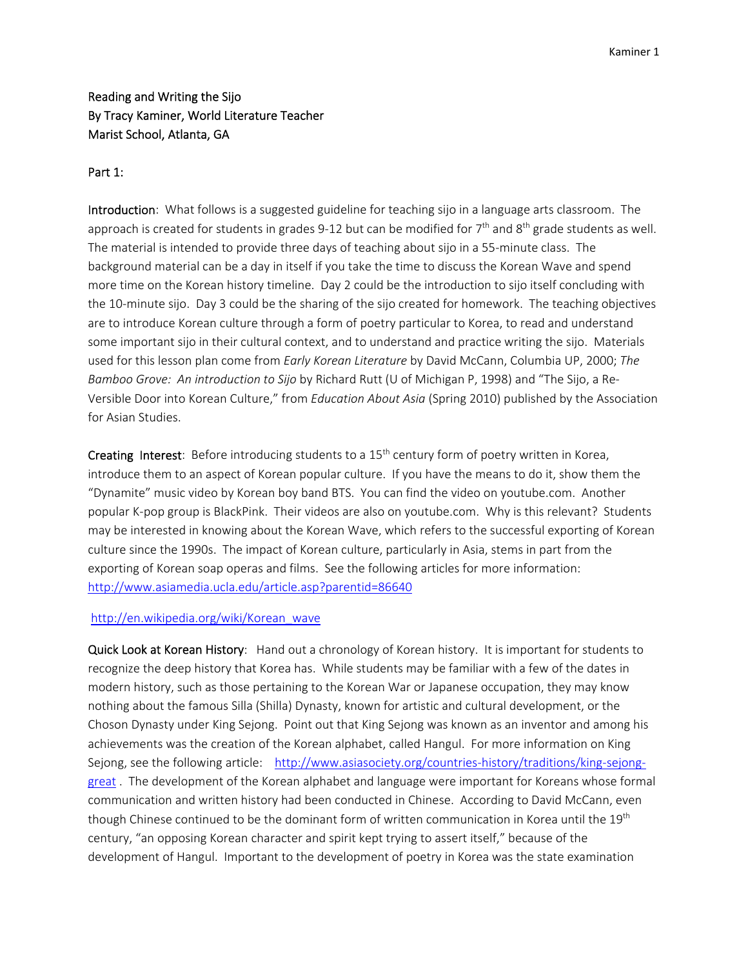# Reading and Writing the Sijo By Tracy Kaminer, World Literature Teacher Marist School, Atlanta, GA

# Part 1:

Introduction: What follows is a suggested guideline for teaching sijo in a language arts classroom. The approach is created for students in grades 9-12 but can be modified for 7<sup>th</sup> and 8<sup>th</sup> grade students as well. The material is intended to provide three days of teaching about sijo in a 55‐minute class. The background material can be a day in itself if you take the time to discuss the Korean Wave and spend more time on the Korean history timeline. Day 2 could be the introduction to sijo itself concluding with the 10-minute sijo. Day 3 could be the sharing of the sijo created for homework. The teaching objectives are to introduce Korean culture through a form of poetry particular to Korea, to read and understand some important sijo in their cultural context, and to understand and practice writing the sijo. Materials used for this lesson plan come from *Early Korean Literature* by David McCann, Columbia UP, 2000; *The Bamboo Grove: An introduction to Sijo* by Richard Rutt (U of Michigan P, 1998) and "The Sijo, a Re‐ Versible Door into Korean Culture," from *Education About Asia* (Spring 2010) published by the Association for Asian Studies.

Creating Interest: Before introducing students to a 15<sup>th</sup> century form of poetry written in Korea, introduce them to an aspect of Korean popular culture. If you have the means to do it, show them the "Dynamite" music video by Korean boy band BTS. You can find the video on youtube.com. Another popular K‐pop group is BlackPink. Their videos are also on youtube.com. Why is this relevant? Students may be interested in knowing about the Korean Wave, which refers to the successful exporting of Korean culture since the 1990s. The impact of Korean culture, particularly in Asia, stems in part from the exporting of Korean soap operas and films. See the following articles for more information: http://www.asiamedia.ucla.edu/article.asp?parentid=86640

### http://en.wikipedia.org/wiki/Korean\_wave

Quick Look at Korean History: Hand out a chronology of Korean history. It is important for students to recognize the deep history that Korea has. While students may be familiar with a few of the dates in modern history, such as those pertaining to the Korean War or Japanese occupation, they may know nothing about the famous Silla (Shilla) Dynasty, known for artistic and cultural development, or the Choson Dynasty under King Sejong. Point out that King Sejong was known as an inventor and among his achievements was the creation of the Korean alphabet, called Hangul. For more information on King Sejong, see the following article: http://www.asiasociety.org/countries-history/traditions/king-sejonggreat . The development of the Korean alphabet and language were important for Koreans whose formal communication and written history had been conducted in Chinese. According to David McCann, even though Chinese continued to be the dominant form of written communication in Korea until the 19<sup>th</sup> century, "an opposing Korean character and spirit kept trying to assert itself," because of the development of Hangul. Important to the development of poetry in Korea was the state examination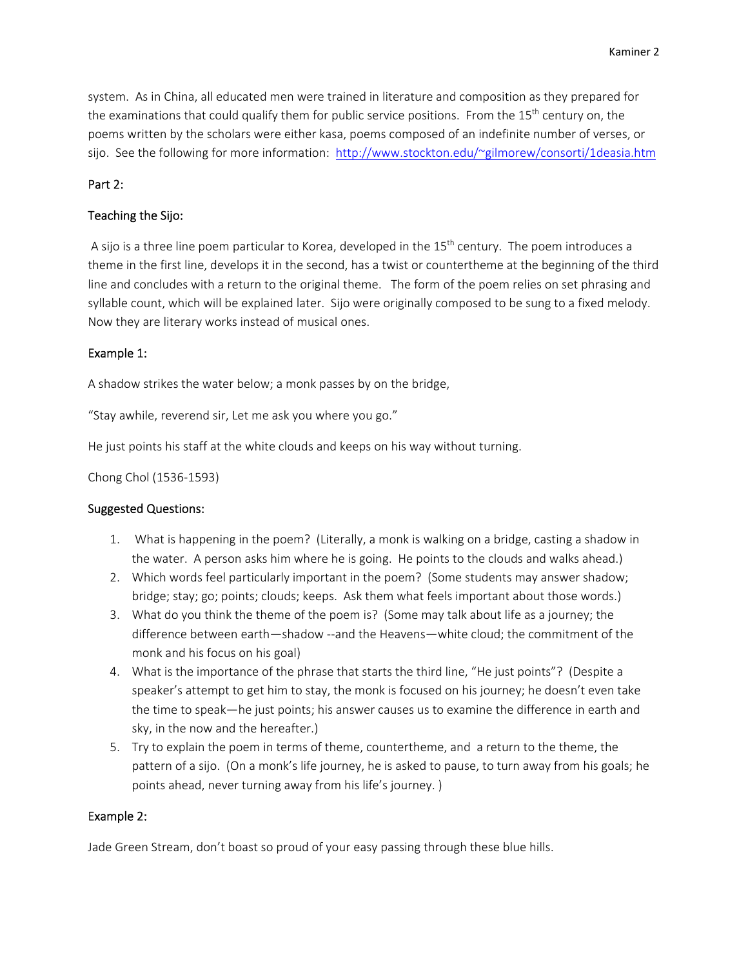system. As in China, all educated men were trained in literature and composition as they prepared for the examinations that could qualify them for public service positions. From the 15<sup>th</sup> century on, the poems written by the scholars were either kasa, poems composed of an indefinite number of verses, or sijo. See the following for more information: http://www.stockton.edu/~gilmorew/consorti/1deasia.htm

### Part 2:

# Teaching the Sijo:

A sijo is a three line poem particular to Korea, developed in the 15<sup>th</sup> century. The poem introduces a theme in the first line, develops it in the second, has a twist or countertheme at the beginning of the third line and concludes with a return to the original theme. The form of the poem relies on set phrasing and syllable count, which will be explained later. Sijo were originally composed to be sung to a fixed melody. Now they are literary works instead of musical ones.

# Example 1:

A shadow strikes the water below; a monk passes by on the bridge,

"Stay awhile, reverend sir, Let me ask you where you go."

He just points his staff at the white clouds and keeps on his way without turning.

Chong Chol (1536‐1593)

### Suggested Questions:

- 1. What is happening in the poem? (Literally, a monk is walking on a bridge, casting a shadow in the water. A person asks him where he is going. He points to the clouds and walks ahead.)
- 2. Which words feel particularly important in the poem? (Some students may answer shadow; bridge; stay; go; points; clouds; keeps. Ask them what feels important about those words.)
- 3. What do you think the theme of the poem is? (Some may talk about life as a journey; the difference between earth—shadow ‐‐and the Heavens—white cloud; the commitment of the monk and his focus on his goal)
- 4. What is the importance of the phrase that starts the third line, "He just points"? (Despite a speaker's attempt to get him to stay, the monk is focused on his journey; he doesn't even take the time to speak—he just points; his answer causes us to examine the difference in earth and sky, in the now and the hereafter.)
- 5. Try to explain the poem in terms of theme, countertheme, and a return to the theme, the pattern of a sijo. (On a monk's life journey, he is asked to pause, to turn away from his goals; he points ahead, never turning away from his life's journey. )

### Example 2:

Jade Green Stream, don't boast so proud of your easy passing through these blue hills.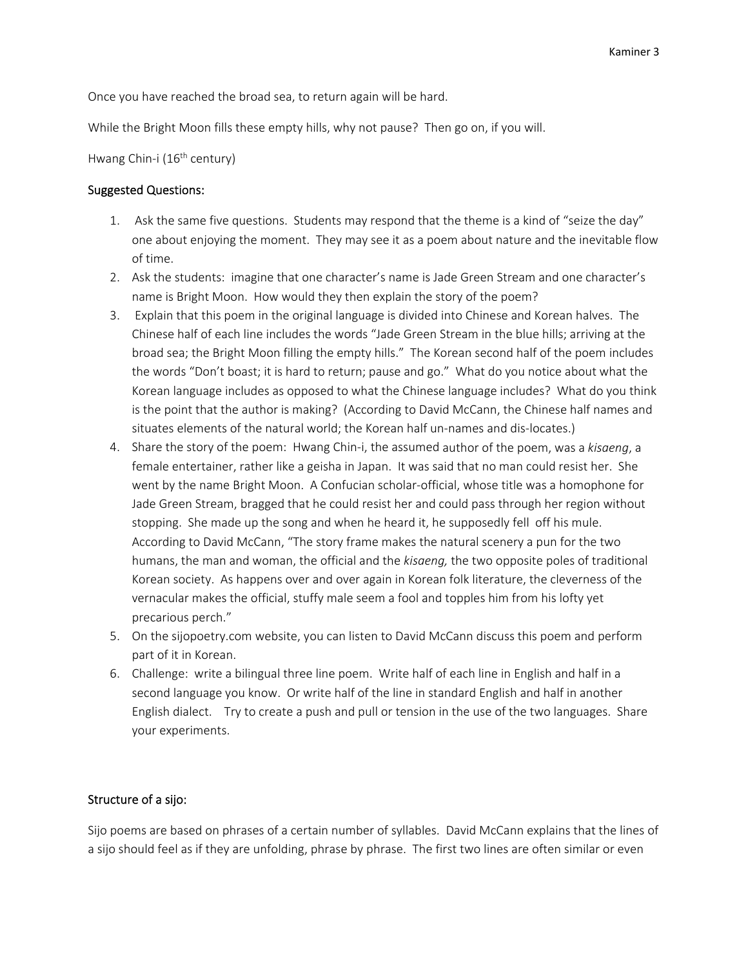Once you have reached the broad sea, to return again will be hard.

While the Bright Moon fills these empty hills, why not pause? Then go on, if you will.

Hwang Chin-i (16<sup>th</sup> century)

### Suggested Questions:

- 1. Ask the same five questions. Students may respond that the theme is a kind of "seize the day" one about enjoying the moment. They may see it as a poem about nature and the inevitable flow of time.
- 2. Ask the students: imagine that one character's name is Jade Green Stream and one character's name is Bright Moon. How would they then explain the story of the poem?
- 3. Explain that this poem in the original language is divided into Chinese and Korean halves. The Chinese half of each line includes the words "Jade Green Stream in the blue hills; arriving at the broad sea; the Bright Moon filling the empty hills." The Korean second half of the poem includes the words "Don't boast; it is hard to return; pause and go." What do you notice about what the Korean language includes as opposed to what the Chinese language includes? What do you think is the point that the author is making? (According to David McCann, the Chinese half names and situates elements of the natural world; the Korean half un-names and dis-locates.)
- 4. Share the story of the poem: Hwang Chin‐i, the assumed author of the poem, was a *kisaeng*, a female entertainer, rather like a geisha in Japan. It was said that no man could resist her. She went by the name Bright Moon. A Confucian scholar-official, whose title was a homophone for Jade Green Stream, bragged that he could resist her and could pass through her region without stopping. She made up the song and when he heard it, he supposedly fell off his mule. According to David McCann, "The story frame makes the natural scenery a pun for the two humans, the man and woman, the official and the *kisaeng,* the two opposite poles of traditional Korean society. As happens over and over again in Korean folk literature, the cleverness of the vernacular makes the official, stuffy male seem a fool and topples him from his lofty yet precarious perch."
- 5. On the sijopoetry.com website, you can listen to David McCann discuss this poem and perform part of it in Korean.
- 6. Challenge: write a bilingual three line poem. Write half of each line in English and half in a second language you know. Or write half of the line in standard English and half in another English dialect. Try to create a push and pull or tension in the use of the two languages. Share your experiments.

# Structure of a sijo:

Sijo poems are based on phrases of a certain number of syllables. David McCann explains that the lines of a sijo should feel as if they are unfolding, phrase by phrase. The first two lines are often similar or even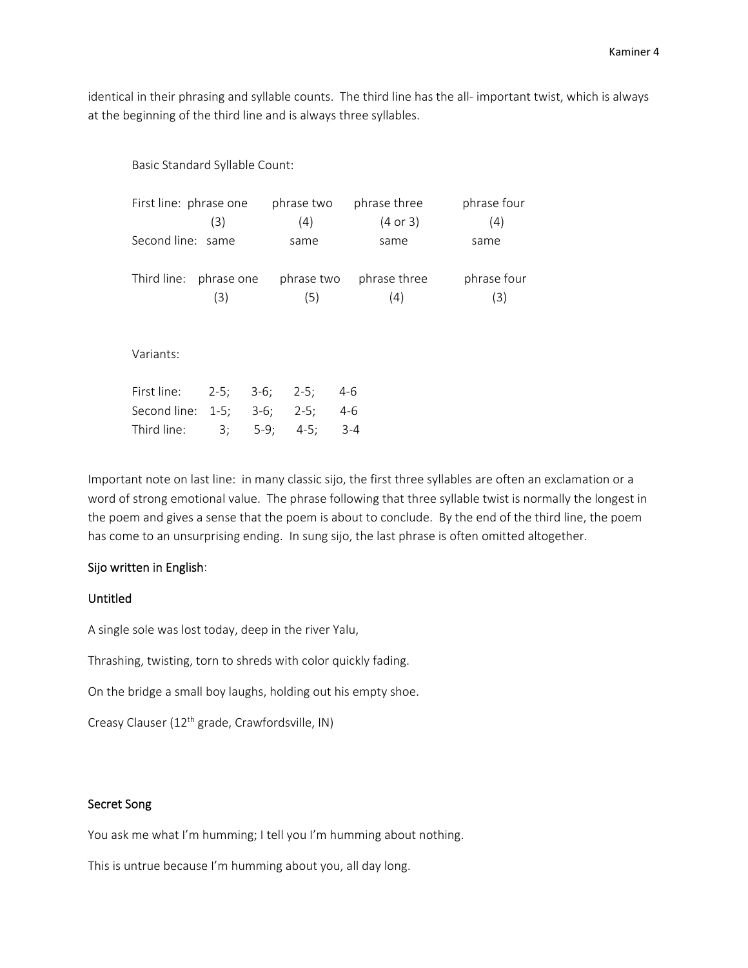identical in their phrasing and syllable counts. The third line has the all‐ important twist, which is always at the beginning of the third line and is always three syllables.

Basic Standard Syllable Count:

| First line: phrase one |            | phrase two | phrase three        | phrase four |  |
|------------------------|------------|------------|---------------------|-------------|--|
|                        | (3)        | (4)        | $(4 \text{ or } 3)$ | (4)         |  |
| Second line: same      |            | same       | same                | same        |  |
|                        |            |            |                     |             |  |
| Third line:            | phrase one | phrase two | phrase three        | phrase four |  |
|                        | (3)        | (5)        | (4)                 | (3)         |  |
|                        |            |            |                     |             |  |
| Variants:              |            |            |                     |             |  |
|                        |            |            |                     |             |  |

| First line: 2-5; 3-6; 2-5; 4-6  |  |  |
|---------------------------------|--|--|
| Second line: 1-5; 3-6; 2-5; 4-6 |  |  |
| Third line: 3; 5-9; 4-5; 3-4    |  |  |

Important note on last line: in many classic sijo, the first three syllables are often an exclamation or a word of strong emotional value. The phrase following that three syllable twist is normally the longest in the poem and gives a sense that the poem is about to conclude. By the end of the third line, the poem has come to an unsurprising ending. In sung sijo, the last phrase is often omitted altogether.

#### Sijo written in English:

# Untitled

A single sole was lost today, deep in the river Yalu,

Thrashing, twisting, torn to shreds with color quickly fading.

On the bridge a small boy laughs, holding out his empty shoe.

Creasy Clauser (12th grade, Crawfordsville, IN)

### Secret Song

You ask me what I'm humming; I tell you I'm humming about nothing.

This is untrue because I'm humming about you, all day long.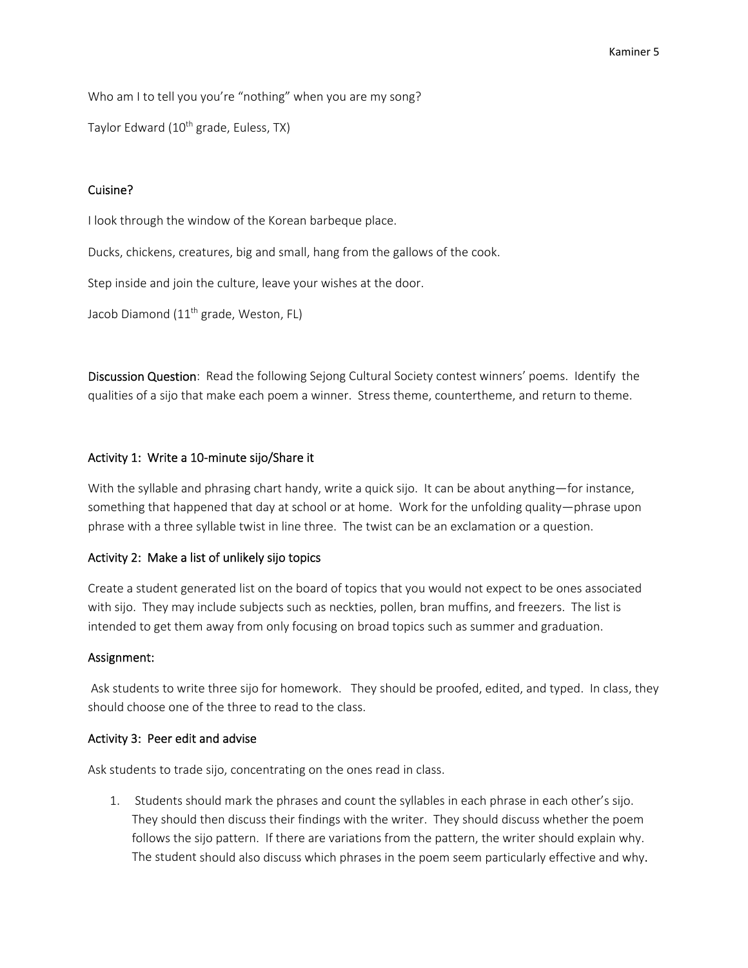Who am I to tell you you're "nothing" when you are my song?

Taylor Edward (10<sup>th</sup> grade, Euless, TX)

# Cuisine?

I look through the window of the Korean barbeque place.

Ducks, chickens, creatures, big and small, hang from the gallows of the cook.

Step inside and join the culture, leave your wishes at the door.

Jacob Diamond (11<sup>th</sup> grade, Weston, FL)

Discussion Question: Read the following Sejong Cultural Society contest winners' poems. Identify the qualities of a sijo that make each poem a winner. Stress theme, countertheme, and return to theme.

# Activity 1: Write a 10‐minute sijo/Share it

With the syllable and phrasing chart handy, write a quick sijo. It can be about anything—for instance, something that happened that day at school or at home. Work for the unfolding quality—phrase upon phrase with a three syllable twist in line three. The twist can be an exclamation or a question.

### Activity 2: Make a list of unlikely sijo topics

Create a student generated list on the board of topics that you would not expect to be ones associated with sijo. They may include subjects such as neckties, pollen, bran muffins, and freezers. The list is intended to get them away from only focusing on broad topics such as summer and graduation.

### Assignment:

Ask students to write three sijo for homework. They should be proofed, edited, and typed. In class, they should choose one of the three to read to the class.

### Activity 3: Peer edit and advise

Ask students to trade sijo, concentrating on the ones read in class.

1. Students should mark the phrases and count the syllables in each phrase in each other's sijo. They should then discuss their findings with the writer. They should discuss whether the poem follows the sijo pattern. If there are variations from the pattern, the writer should explain why. The student should also discuss which phrases in the poem seem particularly effective and why.